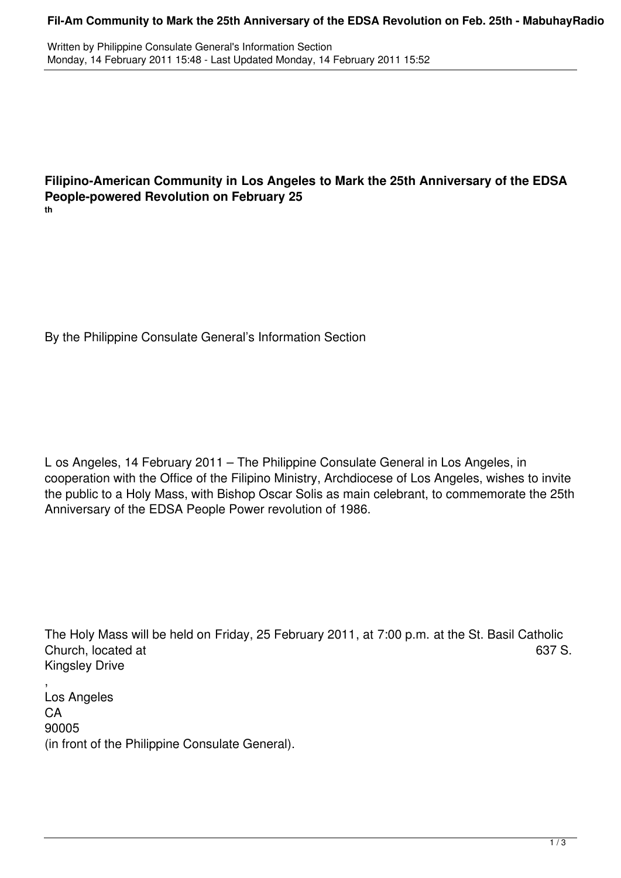## **Fil-Am Community to Mark the 25th Anniversary of the EDSA Revolution on Feb. 25th - MabuhayRadio**

Written by Philippine Consulate General's Information Section Monday, 14 February 2011 15:48 - Last Updated Monday, 14 February 2011 15:52

## **Filipino-American Community in Los Angeles to Mark the 25th Anniversary of the EDSA People-powered Revolution on February 25 th**

By the Philippine Consulate General's Information Section

L os Angeles, 14 February 2011 – The Philippine Consulate General in Los Angeles, in cooperation with the Office of the Filipino Ministry, Archdiocese of Los Angeles, wishes to invite the public to a Holy Mass, with Bishop Oscar Solis as main celebrant, to commemorate the 25th Anniversary of the EDSA People Power revolution of 1986.

The Holy Mass will be held on Friday, 25 February 2011, at 7:00 p.m. at the St. Basil Catholic Church, located at 637 S. Kingsley Drive

, Los Angeles **CA** 90005 (in front of the Philippine Consulate General).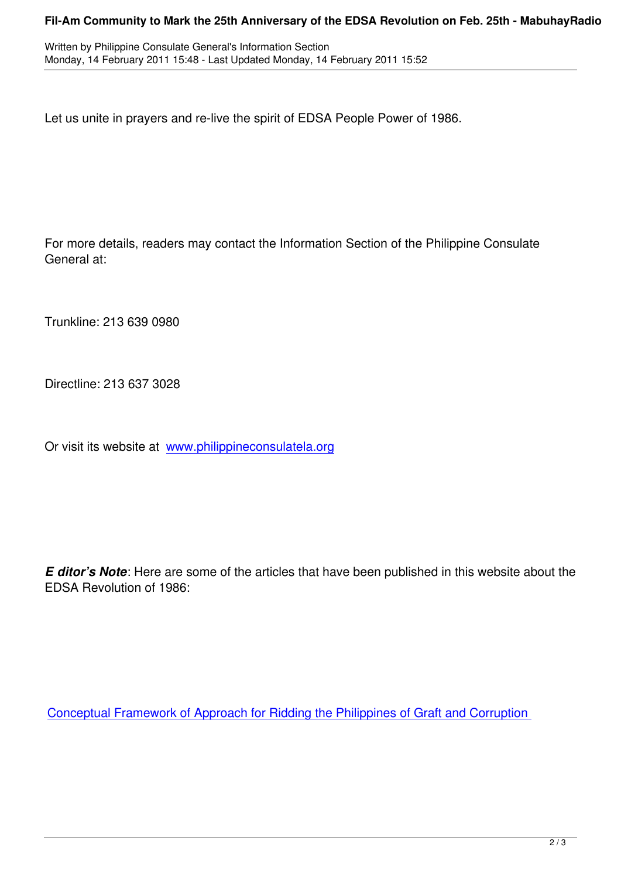Let us unite in prayers and re-live the spirit of EDSA People Power of 1986.

For more details, readers may contact the Information Section of the Philippine Consulate General at:

Trunkline: 213 639 0980

Directline: 213 637 3028

Or visit its website at www.philippineconsulatela.org

*E ditor's Note*: Here are some of the articles that have been published in this website about the EDSA Revolution of 1986:

Conceptual Framework of Approach for Ridding the Philippines of Graft and Corruption